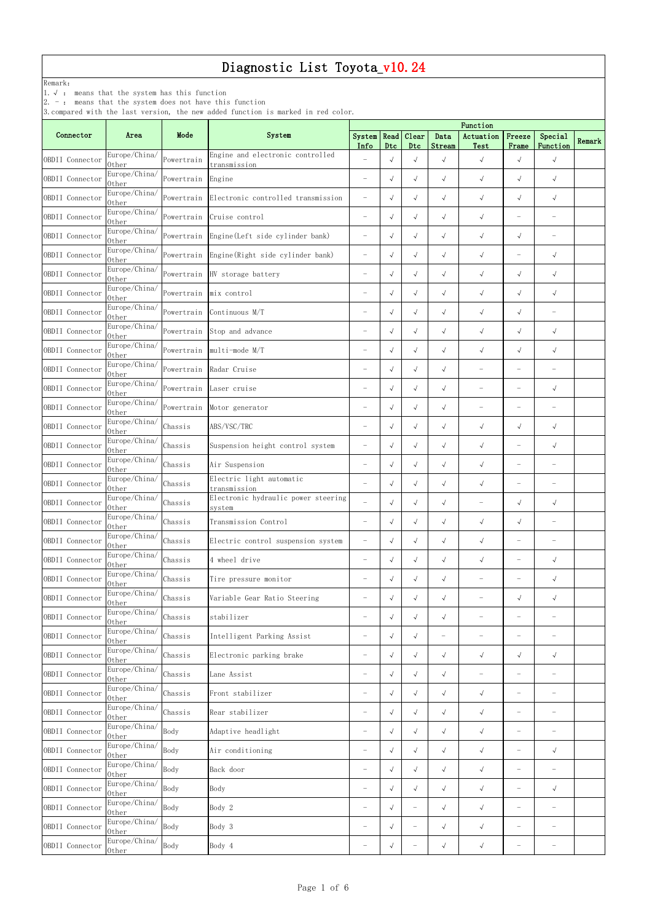|                 |                        |            |                                                  | Function                      |            |            |                          |                          |                          |                          |        |  |  |
|-----------------|------------------------|------------|--------------------------------------------------|-------------------------------|------------|------------|--------------------------|--------------------------|--------------------------|--------------------------|--------|--|--|
| Connector       | Area                   | Mode       | System                                           | System   Read   Clear<br>Info | Dtc        | Dtc        | Data<br>Stream           | Actuation<br>Test        | Freeze<br>Frame          | Special<br>Function      | Remark |  |  |
| OBDII Connector | Europe/China/<br>0ther | Powertrain | Engine and electronic controlled<br>transmission | $\overline{\phantom{0}}$      | $\sqrt{ }$ | $\sqrt{ }$ | $\sqrt{ }$               | $\sqrt{ }$               | $\sqrt{ }$               | $\sqrt{ }$               |        |  |  |
| OBDII Connector | Europe/China/<br>0ther | Powertrain | Engine                                           | $\overline{\phantom{m}}$      | $\sqrt{ }$ | $\sqrt{ }$ | $\sqrt{ }$               | $\sqrt{ }$               | $\sqrt{ }$               | $\sqrt{ }$               |        |  |  |
| OBDII Connector | Europe/China/<br>0ther |            | Powertrain Electronic controlled transmission    | $\overline{\phantom{m}}$      | $\sqrt{ }$ | $\sqrt{ }$ | $\sqrt{ }$               | $\sqrt{ }$               | $\sqrt{ }$               | $\sqrt{ }$               |        |  |  |
| OBDII Connector | Europe/China/<br>0ther | Powertrain | Cruise control                                   | $\overline{\phantom{m}}$      | $\sqrt{ }$ | $\sqrt{2}$ | $\sqrt{ }$               | $\sqrt{ }$               | $\overline{\phantom{0}}$ | $\overline{\phantom{m}}$ |        |  |  |
| OBDII Connector | Europe/China/<br>0ther | Powertrain | Engine (Left side cylinder bank)                 | $\overline{\phantom{m}}$      | $\sqrt{ }$ | $\sqrt{ }$ | $\sqrt{ }$               | $\sqrt{ }$               | $\sqrt{ }$               |                          |        |  |  |
| OBDII Connector | Europe/China/<br>0ther | Powertrain | Engine (Right side cylinder bank)                | $\overline{\phantom{0}}$      | $\sqrt{ }$ | $\sqrt{ }$ | $\sqrt{ }$               | $\sqrt{ }$               | $\overline{\phantom{0}}$ | $\sqrt{ }$               |        |  |  |
| OBDII Connector | Europe/China/<br>0ther |            | Powertrain HV storage battery                    | $\overline{\phantom{a}}$      | $\sqrt{ }$ | $\sqrt{ }$ | $\sqrt{ }$               | $\sqrt{ }$               | $\sqrt{ }$               | $\sqrt{ }$               |        |  |  |
| OBDII Connector | Europe/China/<br>0ther | Powertrain | mix control                                      | $\overline{\phantom{0}}$      | $\sqrt{ }$ | $\sqrt{ }$ | $\sqrt{ }$               | $\sqrt{ }$               | $\sqrt{}$                | $\sqrt{ }$               |        |  |  |
| OBDII Connector | Europe/China/<br>0ther | Powertrain | Continuous M/T                                   | $\overline{\phantom{m}}$      | $\sqrt{ }$ | $\sqrt{ }$ | $\sqrt{ }$               | $\sqrt{ }$               | $\sqrt{ }$               | $\overline{\phantom{m}}$ |        |  |  |
| OBDII Connector | Europe/China/<br>0ther |            | Powertrain Stop and advance                      | $\overline{\phantom{a}}$      | $\sqrt{ }$ | $\sqrt{ }$ | $\sqrt{ }$               | $\sqrt{ }$               | $\sqrt{ }$               | $\sqrt{ }$               |        |  |  |
| OBDII Connector | Europe/China/<br>0ther |            | Powertrain multi-mode M/T                        | $\overline{\phantom{m}}$      | $\sqrt{ }$ | $\sqrt{ }$ | $\sqrt{ }$               | $\sqrt{ }$               | $\sqrt{ }$               | $\sqrt{ }$               |        |  |  |
| OBDII Connector | Europe/China/<br>0ther |            | Powertrain Radar Cruise                          | $\overline{\phantom{0}}$      | $\sqrt{ }$ | $\sqrt{ }$ | $\sqrt{ }$               | $\overline{\phantom{0}}$ | $\overline{\phantom{0}}$ | $\overline{\phantom{0}}$ |        |  |  |
| OBDII Connector | Europe/China/<br>0ther | Powertrain | Laser cruise                                     | $\overline{\phantom{m}}$      | $\sqrt{ }$ | $\sqrt{ }$ | $\sqrt{ }$               | $\overline{\phantom{m}}$ | $\overline{\phantom{m}}$ | $\sqrt{ }$               |        |  |  |
| OBDII Connector | Europe/China/<br>0ther | Powertrain | Motor generator                                  | $\overline{\phantom{0}}$      | $\sqrt{ }$ | $\sqrt{ }$ | $\sqrt{ }$               | $\overline{\phantom{0}}$ | $\overline{\phantom{0}}$ | $\overline{\phantom{m}}$ |        |  |  |
| OBDII Connector | Europe/China/<br>0ther | Chassis    | ABS/VSC/TRC                                      | $\overline{\phantom{a}}$      | $\sqrt{ }$ | $\sqrt{ }$ | $\sqrt{ }$               | $\sqrt{ }$               | $\sqrt{ }$               | $\sqrt{ }$               |        |  |  |
| OBDII Connector | Europe/China/<br>0ther | Chassis    | Suspension height control system                 |                               | $\sqrt{ }$ | $\sqrt{ }$ | $\sqrt{ }$               | $\sqrt{ }$               |                          | $\sqrt{ }$               |        |  |  |
| OBDII Connector | Europe/China/<br>0ther | Chassis    | Air Suspension                                   | $\overline{\phantom{0}}$      | $\sqrt{ }$ | $\sqrt{ }$ | $\sqrt{ }$               | $\sqrt{ }$               | $\overline{\phantom{m}}$ |                          |        |  |  |
| OBDII Connector | Europe/China/<br>0ther | Chassis    | Electric light automatic<br>transmission         | $\overline{\phantom{0}}$      | $\sqrt{ }$ | $\sqrt{ }$ | $\sqrt{ }$               | $\sqrt{}$                | $\overline{\phantom{m}}$ |                          |        |  |  |
| OBDII Connector | Europe/China/<br>0ther | Chassis    | Electronic hydraulic power steering<br>system    |                               | $\sqrt{ }$ | $\sqrt{ }$ | $\sqrt{ }$               | $\overline{\phantom{0}}$ | $\sqrt{ }$               | $\sqrt{ }$               |        |  |  |
| OBDII Connector | Europe/China/<br>0ther | Chassis    | Transmission Control                             | $\overline{\phantom{m}}$      | $\sqrt{ }$ | $\sqrt{}$  | $\sqrt{ }$               | $\sqrt{}$                | $\sqrt{ }$               | $\overline{\phantom{m}}$ |        |  |  |
| OBDII Connector | Europe/China/<br>0ther | Chassis    | Electric control suspension system               | $\overline{\phantom{m}}$      | $\sqrt{ }$ | $\sqrt{ }$ | $\sqrt{ }$               | $\sqrt{}$                | $\overline{\phantom{m}}$ | $\overline{\phantom{m}}$ |        |  |  |
| OBDII Connector | Europe/China/<br>0ther | Chassis    | 4 wheel drive                                    | $\overline{\phantom{m}}$      | $\sqrt{ }$ | $\sqrt{ }$ | $\sqrt{ }$               | $\sqrt{ }$               | $\overline{\phantom{0}}$ | $\sqrt{ }$               |        |  |  |
| OBDII Connector | Europe/China/<br>0ther | Chassis    | Tire pressure monitor                            | $\overline{\phantom{0}}$      | $\sqrt{ }$ | $\sqrt{ }$ | $\sqrt{ }$               | $\overline{\phantom{0}}$ | $\overline{\phantom{m}}$ | $\sqrt{ }$               |        |  |  |
| OBDII Connector | Europe/China/<br>0ther | Chassis    | Variable Gear Ratio Steering                     | $\overline{\phantom{m}}$      | $\sqrt{ }$ | $\sqrt{ }$ | $\sqrt{ }$               | $\overline{\phantom{0}}$ | $\sqrt{ }$               | $\sqrt{ }$               |        |  |  |
| OBDII Connector | Europe/China/<br>0ther | Chassis    | stabilizer                                       | $\overline{\phantom{0}}$      | $\sqrt{ }$ | $\sqrt{2}$ | $\sqrt{ }$               | $\overline{\phantom{0}}$ | $\overline{\phantom{0}}$ |                          |        |  |  |
| OBDII Connector | Europe/China/<br>0ther | Chassis    | Intelligent Parking Assist                       | $\overline{\phantom{m}}$      | $\sqrt{ }$ | $\sqrt{ }$ | $\overline{\phantom{0}}$ |                          | $\overline{\phantom{0}}$ |                          |        |  |  |
| OBDII Connector | Europe/China/<br>0ther | Chassis    | Electronic parking brake                         | $\overline{\phantom{0}}$      | $\sqrt{ }$ | $\sqrt{ }$ | $\sqrt{ }$               | $\sqrt{ }$               | $\sqrt{}$                | $\sqrt{ }$               |        |  |  |
| OBDII Connector | Europe/China/<br>0ther | Chassis    | Lane Assist                                      | $\overline{\phantom{m}}$      | $\sqrt{ }$ | $\sqrt{ }$ | $\sqrt{ }$               |                          | $\overline{\phantom{0}}$ |                          |        |  |  |
| OBDII Connector | Europe/China/<br>0ther | Chassis    | Front stabilizer                                 | $\overline{\phantom{0}}$      | $\sqrt{ }$ | $\sqrt{ }$ | $\sqrt{ }$               | $\sqrt{}$                | $\overline{\phantom{m}}$ |                          |        |  |  |
| OBDII Connector | Europe/China/<br>0ther | Chassis    | Rear stabilizer                                  | $\overline{\phantom{0}}$      | $\sqrt{ }$ | $\sqrt{ }$ | $\sqrt{ }$               | $\sqrt{ }$               | $\overline{\phantom{m}}$ |                          |        |  |  |
| OBDII Connector | Europe/China/<br>0ther | Body       | Adaptive headlight                               | $\overline{\phantom{m}}$      | $\sqrt{ }$ | $\sqrt{ }$ | $\sqrt{ }$               | $\sqrt{ }$               | $\overline{\phantom{m}}$ |                          |        |  |  |
| OBDII Connector | Europe/China/<br>0ther | Body       | Air conditioning                                 | $\overline{\phantom{m}}$      | $\sqrt{ }$ | $\sqrt{ }$ | $\sqrt{ }$               | $\sqrt{ }$               | $\overline{\phantom{a}}$ | $\sqrt{ }$               |        |  |  |
| OBDII Connector | Europe/China/<br>0ther | Body       | Back door                                        | $\overline{\phantom{0}}$      | $\sqrt{ }$ | $\sqrt{ }$ | $\sqrt{ }$               | $\sqrt{ }$               | $\overline{\phantom{m}}$ | $\overline{\phantom{0}}$ |        |  |  |
| OBDII Connector | Europe/China/<br>0ther | Body       | Body                                             | $\overline{\phantom{m}}$      | $\sqrt{ }$ | $\sqrt{ }$ | $\sqrt{ }$               | $\sqrt{ }$               | $\overline{\phantom{m}}$ | $\sqrt{ }$               |        |  |  |
| OBDII Connector | Europe/China/<br>0ther | Body       | Body 2                                           | $\overline{\phantom{0}}$      | $\sqrt{ }$ |            | $\sqrt{ }$               | $\sqrt{ }$               |                          |                          |        |  |  |
| OBDII Connector | Europe/China/<br>0ther | Body       | Body 3                                           | $\overline{\phantom{m}}$      | $\sqrt{ }$ |            | $\sqrt{ }$               | $\sqrt{ }$               | $\overline{\phantom{0}}$ | $\overline{\phantom{m}}$ |        |  |  |
| OBDII Connector | Europe/China/<br>0ther | Body       | Body 4                                           | $\overline{\phantom{m}}$      | $\sqrt{ }$ |            | $\sqrt{ }$               | $\sqrt{ }$               | $\overline{\phantom{m}}$ |                          |        |  |  |

Remark:

1.√ : means that the system has this function

2. - : means that the system does not have this function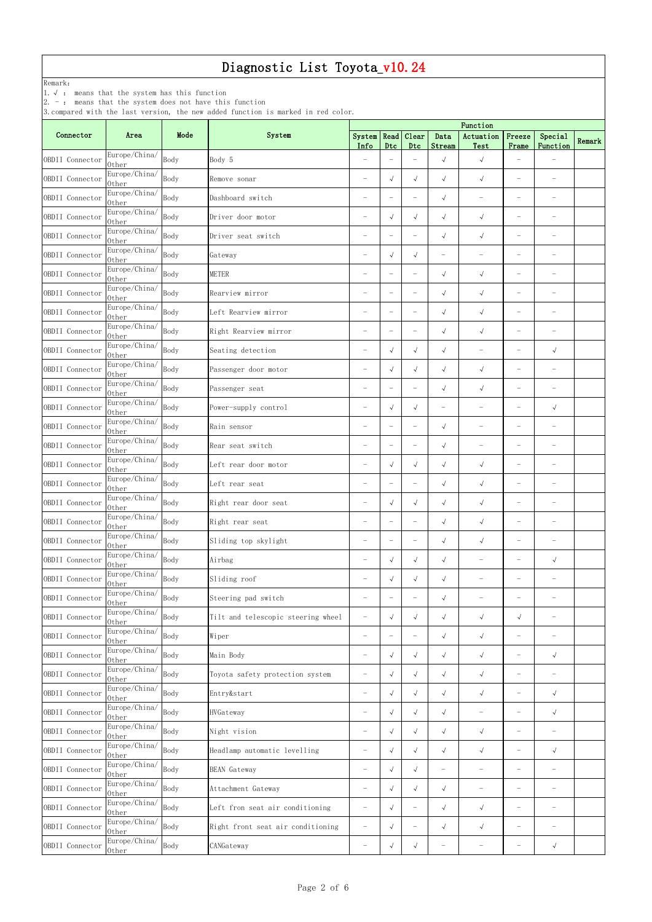Remark:

1.√ : means that the system has this function

2. - : means that the system does not have this function

| Connector       | Area                   | Mode | System                             | <b>System</b><br>Info    | Read<br><b>Dtc</b>       | Clear<br>Dtc                      | Data<br>Stream           | Actuation<br>Test        | Freeze<br>Frame          | Special<br>Function              | Remark |
|-----------------|------------------------|------|------------------------------------|--------------------------|--------------------------|-----------------------------------|--------------------------|--------------------------|--------------------------|----------------------------------|--------|
| OBDII Connector | Europe/China/<br>0ther | Body | Body 5                             | $\overline{\phantom{0}}$ | $\overline{\phantom{0}}$ |                                   | $\sqrt{ }$               | $\sqrt{}$                | $\overline{\phantom{0}}$ | $\overline{\phantom{a}}$         |        |
| OBDII Connector | Europe/China/<br>0ther | Body | Remove sonar                       | $\overline{\phantom{m}}$ | $\sqrt{ }$               | $\sqrt{ }$                        | $\sqrt{ }$               | $\sqrt{ }$               |                          | $\overline{\phantom{a}}$         |        |
| OBDII Connector | Europe/China/<br>0ther | Body | Dashboard switch                   | $\overline{\phantom{0}}$ | $\overline{\phantom{m}}$ | $\qquad \qquad -$                 | $\sqrt{ }$               | $\overline{\phantom{0}}$ | $\overline{\phantom{0}}$ | $\overline{\phantom{m}}$         |        |
| OBDII Connector | Europe/China/<br>0ther | Body | Driver door motor                  | $\overline{\phantom{m}}$ | $\sqrt{ }$               | $\sqrt{ }$                        | $\sqrt{ }$               | $\sqrt{ }$               |                          | $\overline{\phantom{a}}$         |        |
| OBDII Connector | Europe/China/<br>0ther | Body | Driver seat switch                 | $\overline{\phantom{m}}$ | $\overline{\phantom{m}}$ | $\overline{\phantom{0}}$          | $\sqrt{ }$               | $\sqrt{ }$               | $\overline{\phantom{0}}$ | $\overline{\phantom{0}}$         |        |
| OBDII Connector | Europe/China/<br>0ther | Body | Gateway                            | $\overline{\phantom{0}}$ | $\sqrt{ }$               | $\sqrt{ }$                        | $\overline{\phantom{0}}$ | $\overline{\phantom{0}}$ | $\overline{\phantom{0}}$ | $\overline{\phantom{0}}$         |        |
| OBDII Connector | Europe/China/<br>0ther | Body | <b>METER</b>                       | $\overline{\phantom{0}}$ | $\overline{\phantom{m}}$ | $\qquad \qquad -$                 | $\sqrt{ }$               | $\sqrt{ }$               | $\overline{\phantom{0}}$ | $\overline{\phantom{m}}$         |        |
| OBDII Connector | Europe/China/<br>0ther | Body | Rearview mirror                    | $\overline{\phantom{0}}$ | $\overline{\phantom{a}}$ |                                   | $\sqrt{ }$               | $\sqrt{ }$               | $\overline{\phantom{0}}$ | $\overline{\phantom{0}}$         |        |
| OBDII Connector | Europe/China/<br>0ther | Body | Left Rearview mirror               | $\overline{\phantom{0}}$ | $\overline{\phantom{m}}$ | $\qquad \qquad -$                 | $\sqrt{ }$               | $\sqrt{}$                | $\overline{\phantom{m}}$ | $\overline{\phantom{m}}$         |        |
| OBDII Connector | Europe/China/<br>0ther | Body | Right Rearview mirror              | $\overline{\phantom{0}}$ | $\overline{\phantom{m}}$ | $\qquad \qquad -$                 | $\sqrt{ }$               | $\sqrt{}$                | $\overline{\phantom{0}}$ | $\overbrace{\phantom{12322111}}$ |        |
| OBDII Connector | Europe/China/<br>0ther | Body | Seating detection                  | $\equiv$                 | $\sqrt{ }$               | $\sqrt{ }$                        | $\sqrt{ }$               |                          | $\overline{\phantom{0}}$ | $\sqrt{ }$                       |        |
| OBDII Connector | Europe/China/<br>0ther | Body | Passenger door motor               |                          | $\sqrt{ }$               | $\sqrt{ }$                        | $\sqrt{ }$               | $\sqrt{ }$               |                          |                                  |        |
| OBDII Connector | Europe/China/<br>0ther | Body | Passenger seat                     | $\equiv$                 | $\overline{\phantom{a}}$ |                                   | $\sqrt{ }$               | $\sqrt{ }$               | $\overline{\phantom{0}}$ | $\sim$                           |        |
| OBDII Connector | Europe/China/<br>0ther | Body | Power-supply control               | $\overline{\phantom{0}}$ | $\sqrt{ }$               | $\sqrt{ }$                        | $\overline{\phantom{0}}$ | $\overline{\phantom{0}}$ | $\overline{\phantom{0}}$ | $\sqrt{ }$                       |        |
| OBDII Connector | Europe/China/<br>0ther | Body | Rain sensor                        |                          | $\overline{\phantom{m}}$ | $\qquad \qquad -$                 | $\sqrt{ }$               | $\overline{\phantom{0}}$ | $\overline{\phantom{0}}$ | $\overline{\phantom{m}}$         |        |
| OBDII Connector | Europe/China/<br>0ther | Body | Rear seat switch                   |                          | $\overline{\phantom{a}}$ |                                   | $\sqrt{ }$               |                          | $\overline{\phantom{0}}$ |                                  |        |
| OBDII Connector | Europe/China/<br>0ther | Body | Left rear door motor               | $\overline{\phantom{0}}$ | $\sqrt{ }$               | $\sqrt{ }$                        | $\sqrt{ }$               | $\sqrt{ }$               | $\overline{\phantom{m}}$ |                                  |        |
| OBDII Connector | Europe/China/<br>0ther | Body | Left rear seat                     | $\overline{\phantom{0}}$ | $\overline{\phantom{a}}$ |                                   | $\sqrt{ }$               | $\sqrt{ }$               | $\overline{\phantom{0}}$ | $\overline{\phantom{0}}$         |        |
| OBDII Connector | Europe/China/<br>0ther | Body | Right rear door seat               | $\qquad \qquad -$        | $\sqrt{ }$               | $\sqrt{ }$                        | $\sqrt{ }$               | $\sqrt{}$                | $\overline{\phantom{m}}$ | $\overline{\phantom{m}}$         |        |
| OBDII Connector | Europe/China/<br>0ther | Body | Right rear seat                    | $\overline{\phantom{0}}$ | $\overline{\phantom{m}}$ | $\qquad \qquad -$                 | $\sqrt{ }$               | $\sqrt{}$                | $\overline{\phantom{0}}$ | $\overline{\phantom{a}}$         |        |
| OBDII Connector | Europe/China/<br>0ther | Body | Sliding top skylight               | $\overline{\phantom{0}}$ | $\overline{\phantom{m}}$ | $\overline{\phantom{0}}$          | $\sqrt{ }$               | $\sqrt{ }$               | $\overline{\phantom{0}}$ | $\overline{\phantom{0}}$         |        |
| OBDII Connector | Europe/China/<br>0ther | Body | Airbag                             |                          | $\sqrt{ }$               | $\sqrt{ }$                        | $\sqrt{ }$               |                          |                          | $\sqrt{ }$                       |        |
| OBDII Connector | Europe/China/<br>0ther | Body | Sliding roof                       | $\overline{\phantom{a}}$ | $\sqrt{ }$               | $\sqrt{ }$                        | $\sqrt{ }$               | $\overline{\phantom{0}}$ | $\overline{\phantom{0}}$ | $\overline{\phantom{0}}$         |        |
| OBDII Connector | Europe/China/<br>0ther | Body | Steering pad switch                | $\overline{\phantom{0}}$ | $\overline{\phantom{m}}$ | $\overline{\phantom{0}}$          | $\sqrt{ }$               | $\overline{\phantom{0}}$ | $\overline{\phantom{0}}$ |                                  |        |
| OBDII Connector | Europe/China/<br>0ther | Body | Tilt and telescopic steering wheel | $\overline{\phantom{m}}$ | $\sqrt{ }$               | $\sqrt{ }$                        | $\sqrt{ }$               | $\sqrt{ }$               | $\sqrt{}$                |                                  |        |
| OBDII Connector | Europe/China/<br>0ther | Body | Wiper                              | $\overline{\phantom{0}}$ | $\overline{\phantom{m}}$ | $\overbrace{\phantom{123221111}}$ | $\sqrt{ }$               | $\sqrt{ }$               |                          | $\overline{\phantom{a}}$         |        |
| OBDII Connector | Europe/China/<br>0ther | Body | Main Body                          |                          | $\sqrt{ }$               | $\sqrt{ }$                        | $\sqrt{ }$               | $\sqrt{ }$               | $\overline{\phantom{0}}$ | $\sqrt{ }$                       |        |
| OBDII Connector | Europe/China/<br>0ther | Body | Toyota safety protection system    | $\overline{\phantom{m}}$ | $\sqrt{ }$               | $\sqrt{ }$                        | $\sqrt{ }$               | $\sqrt{ }$               | $\overline{\phantom{0}}$ | $\overline{\phantom{m}}$         |        |
| OBDII Connector | Europe/China/<br>0ther | Body | Entry&start                        | $\overline{\phantom{m}}$ | $\sqrt{ }$               | $\sqrt{ }$                        | $\sqrt{ }$               | $\sqrt{}$                | $\overline{\phantom{0}}$ | $\sqrt{ }$                       |        |
| OBDII Connector | Europe/China/<br>0ther | Body | HVGateway                          | $\overline{\phantom{m}}$ | $\sqrt{ }$               | $\sqrt{ }$                        | $\sqrt{ }$               | $\overline{\phantom{0}}$ | $\overline{\phantom{0}}$ | $\sqrt{ }$                       |        |
| OBDII Connector | Europe/China/<br>0ther | Body | Night vision                       |                          | $\sqrt{ }$               | $\sqrt{ }$                        | $\sqrt{ }$               | $\sqrt{ }$               |                          | $\overline{\phantom{a}}$         |        |
| OBDII Connector | Europe/China/<br>0ther | Body | Headlamp automatic levelling       | $\overline{\phantom{m}}$ | $\sqrt{ }$               | $\sqrt{ }$                        | $\sqrt{ }$               | $\sqrt{ }$               | $\overline{\phantom{0}}$ | $\sqrt{ }$                       |        |
| OBDII Connector | Europe/China/<br>0ther | Body | <b>BEAN</b> Gateway                | $\overline{\phantom{0}}$ | $\sqrt{ }$               | $\sqrt{ }$                        |                          | $\overline{\phantom{0}}$ | $\overline{\phantom{0}}$ | $\overline{\phantom{m}}$         |        |
| OBDII Connector | Europe/China/<br>0ther | Body | Attachment Gateway                 |                          | $\sqrt{ }$               | $\sqrt{ }$                        | $\sqrt{ }$               |                          |                          |                                  |        |
| OBDII Connector | Europe/China/<br>0ther | Body | Left fron seat air conditioning    | $\qquad \qquad -$        |                          |                                   | $\sqrt{ }$               |                          | -                        |                                  |        |
| OBDII Connector | Europe/China/<br>0ther | Body | Right front seat air conditioning  | $\overline{\phantom{m}}$ | $\sqrt{ }$               |                                   | $\sqrt{ }$               | $\sqrt{ }$               | $\overline{\phantom{m}}$ | $\overbrace{\phantom{12322111}}$ |        |
| OBDII Connector | Europe/China/<br>0ther | Body | CANGateway                         | $\overline{\phantom{m}}$ | $\sqrt{ }$               | $\sqrt{ }$                        | $\overline{\phantom{0}}$ |                          |                          | $\sqrt{ }$                       |        |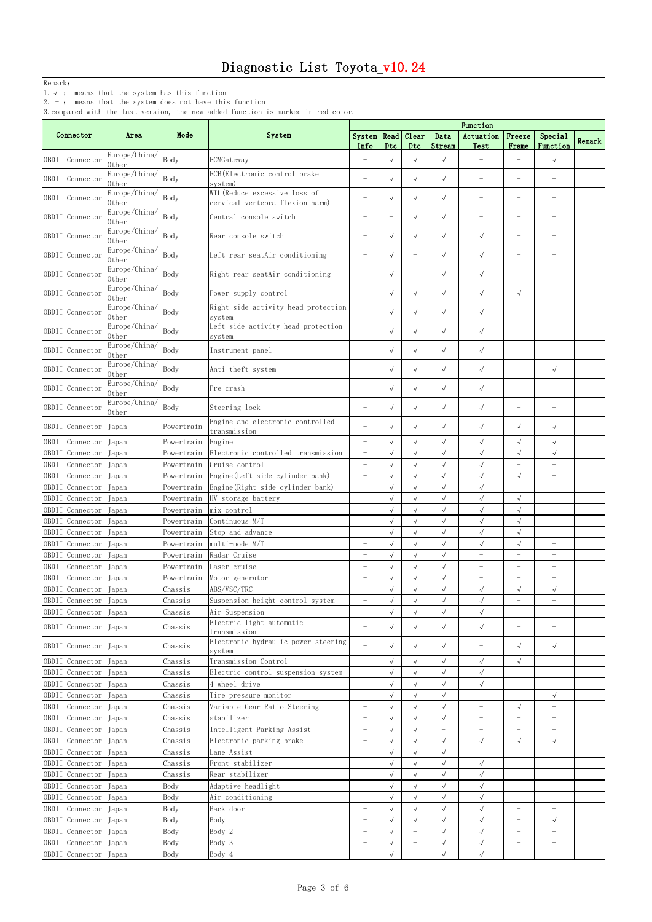Remark:

1.√ : means that the system has this function

2. - : means that the system does not have this function

|                       |                        |            |                                                                  | Function                 |                          |                          |                          |                          |                          |                          |        |  |  |
|-----------------------|------------------------|------------|------------------------------------------------------------------|--------------------------|--------------------------|--------------------------|--------------------------|--------------------------|--------------------------|--------------------------|--------|--|--|
| Connector             | Area                   | Mode       | System                                                           | System<br>Info           | Read<br>Dtc              | Clear<br>Dtc             | Data<br>Stream           | Actuation<br>Test        | Freeze<br>Frame          | Special<br>Function      | Remark |  |  |
| OBDII Connector       | Europe/China/<br>0ther | Body       | ECMGateway                                                       |                          | $\sqrt{ }$               | J                        | $\sqrt{}$                |                          |                          | $\sqrt{ }$               |        |  |  |
| OBDII Connector       | Europe/China/<br>0ther | Body       | ECB (Electronic control brake<br>system)                         |                          | $\sqrt{ }$               | $\sqrt{ }$               | $\sqrt{}$                |                          |                          |                          |        |  |  |
| OBDII Connector       | Europe/China/<br>0ther | Body       | WIL (Reduce excessive loss of<br>cervical vertebra flexion harm) |                          | $\sqrt{ }$               | $\sqrt{ }$               | $\sqrt{ }$               |                          |                          |                          |        |  |  |
| OBDII Connector       | Europe/China/<br>0ther | Body       | Central console switch                                           |                          | $\overline{\phantom{0}}$ | $\sqrt{ }$               | $\sqrt{ }$               |                          |                          |                          |        |  |  |
| OBDII Connector       | Europe/China/<br>0ther | Body       | Rear console switch                                              | $\overline{\phantom{m}}$ | $\sqrt{ }$               | $\sqrt{}$                | $\sqrt{ }$               | $\sqrt{ }$               |                          |                          |        |  |  |
| OBDII Connector       | Europe/China/<br>Other | Body       | Left rear seatAir conditioning                                   | $\overline{\phantom{a}}$ | $\sqrt{ }$               | $\overline{\phantom{0}}$ | $\sqrt{ }$               | $\sqrt{ }$               |                          |                          |        |  |  |
| OBDII Connector       | Europe/China/<br>0ther | Body       | Right rear seatAir conditioning                                  | $\overline{\phantom{m}}$ | $\sqrt{ }$               |                          | $\sqrt{ }$               | $\sqrt{ }$               |                          |                          |        |  |  |
| OBDII Connector       | Europe/China/<br>0ther | Body       | Power-supply control                                             | $\overline{\phantom{m}}$ | $\sqrt{ }$               | $\sqrt{ }$               | $\sqrt{ }$               | $\sqrt{ }$               | $\sqrt{ }$               |                          |        |  |  |
| OBDII Connector       | Europe/China/<br>0ther | Body       | Right side activity head protection<br>svstem                    |                          | $\sqrt{ }$               | $\sqrt{ }$               | $\sqrt{ }$               | $\sqrt{ }$               |                          |                          |        |  |  |
| OBDII Connector       | Europe/China/<br>0ther | Body       | Left side activity head protection<br>system                     |                          | $\sqrt{ }$               | $\sqrt{ }$               | $\sqrt{ }$               | $\sqrt{ }$               |                          |                          |        |  |  |
| OBDII Connector       | Europe/China/<br>0ther | Body       | Instrument panel                                                 | $\overline{\phantom{0}}$ | $\sqrt{ }$               | $\sqrt{ }$               | $\sqrt{ }$               | $\sqrt{ }$               | $\overline{\phantom{0}}$ |                          |        |  |  |
| OBDII Connector       | Europe/China/<br>0ther | Body       | Anti-theft system                                                | $\overline{\phantom{0}}$ | $\sqrt{ }$               | $\sqrt{ }$               | $\sqrt{}$                | $\sqrt{ }$               |                          | $\sqrt{ }$               |        |  |  |
| OBDII Connector       | Europe/China/<br>0ther | Body       | Pre-crash                                                        | $\overline{\phantom{m}}$ | $\sqrt{ }$               | $\sqrt{ }$               | $\sqrt{ }$               | $\sqrt{ }$               |                          |                          |        |  |  |
| OBDII Connector       | Europe/China/<br>0ther | Body       | Steering lock                                                    | $\overline{\phantom{0}}$ | $\sqrt{ }$               | $\sqrt{ }$               | $\sqrt{}$                | $\sqrt{ }$               | $\overline{\phantom{0}}$ |                          |        |  |  |
| OBDII Connector       | Japan                  | Powertrain | Engine and electronic controlled<br>transmission                 |                          | $\sqrt{ }$               | $\sqrt{ }$               | $\sqrt{ }$               | $\sqrt{ }$               | $\sqrt{ }$               | $\sqrt{ }$               |        |  |  |
| OBDII Connector       | Japan                  | Powertrain | Engine                                                           |                          | $\sqrt{ }$               | $\sqrt{}$                | $\sqrt{}$                | $\sqrt{}$                | $\sqrt{}$                | $\sqrt{ }$               |        |  |  |
| OBDII Connector       | Japan                  | Powertrain | Electronic controlled transmission                               | $\overline{\phantom{m}}$ | $\sqrt{ }$               |                          | $\sqrt{}$                | $\checkmark$             | $\sqrt{}$                | $\sqrt{ }$               |        |  |  |
| OBDII Connector Japan |                        | Powertrain | Cruise control                                                   |                          | $\checkmark$             | √                        | $\sqrt{ }$               | $\sqrt{ }$               |                          |                          |        |  |  |
| OBDII Connector       | Japan                  | Powertrain | Engine (Left side cylinder bank)                                 | $\overline{\phantom{0}}$ | $\sqrt{ }$               | $\sqrt{}$                | $\sqrt{2}$               | $\sqrt{ }$               | $\sqrt{}$                | $\overline{\phantom{m}}$ |        |  |  |
| OBDII Connector       | Japan                  | Powertrain | Engine (Right side cylinder bank)                                | $\overline{\phantom{0}}$ | $\sqrt{ }$               | $\sqrt{2}$               | $\sqrt{ }$               | $\sqrt{ }$               | $\overline{\phantom{0}}$ | $\overline{\phantom{0}}$ |        |  |  |
| OBDII Connector       | Japan                  | Powertrain | HV storage battery                                               | $\overline{\phantom{m}}$ | $\sqrt{ }$               | $\sqrt{}$                | $\sqrt{}$                | $\sqrt{}$                | $\sqrt{}$                | $\overline{\phantom{a}}$ |        |  |  |
|                       |                        |            |                                                                  |                          |                          |                          |                          |                          |                          |                          |        |  |  |
| OBDII Connector       | Japan                  | Powertrain | mix control                                                      | $\overline{\phantom{0}}$ | $\sqrt{ }$               | $\sqrt{}$                | $\sqrt{2}$               | $\sqrt{}$                | $\sqrt{}$                | $\overline{\phantom{m}}$ |        |  |  |
| OBDII Connector       | Japan                  | Powertrain | Continuous M/T                                                   |                          | $\sqrt{ }$               | $\sqrt{2}$               | $\sqrt{2}$               | $\sqrt{}$                | $\sqrt{2}$               |                          |        |  |  |
| OBDII Connector       | Japan                  | Powertrain | Stop and advance                                                 | $\overline{\phantom{0}}$ | $\sqrt{ }$               | $\sqrt{}$                | $\sqrt{}$                | $\sqrt{ }$               | $\sqrt{}$                | $\overline{\phantom{m}}$ |        |  |  |
| OBDII Connector       | Japan                  | Powertrain | multi-mode M/T                                                   | $\overline{\phantom{0}}$ | $\sqrt{ }$               | $\sqrt{}$                | $\sqrt{}$                | $\sqrt{ }$               | $\sqrt{}$                | $\qquad \qquad -$        |        |  |  |
| OBDII Connector       | Japan                  | Powertrain | Radar Cruise                                                     | $\overline{\phantom{0}}$ | $\sqrt{ }$               | $\checkmark$             | $\sqrt{}$                | $\overline{\phantom{0}}$ | $\qquad \qquad -$        | $\overline{\phantom{m}}$ |        |  |  |
| OBDII Connector       | Japan                  | Powertrain | Laser cruise                                                     | $\overline{\phantom{0}}$ | $\sqrt{ }$               | $\sqrt{}$                | $\sqrt{}$                | $\overline{\phantom{0}}$ | $\overline{\phantom{0}}$ | $\qquad \qquad -$        |        |  |  |
| OBDII Connector       | Japan                  | Powertrain | Motor generator                                                  | $\overline{\phantom{0}}$ | $\sqrt{ }$               | $\sqrt{2}$               | $\checkmark$             | $\overline{\phantom{0}}$ | $\qquad \qquad -$        | $\overline{\phantom{a}}$ |        |  |  |
| OBDII Connector       | Japan                  | Chassis    | ABS/VSC/TRC                                                      | $\overline{\phantom{0}}$ | $\sqrt{ }$               | $\sqrt{ }$               | $\sqrt{ }$               | $\sqrt{ }$               | $\sqrt{}$                | $\sqrt{}$                |        |  |  |
| OBDII Connector       | Japan                  | Chassis    | Suspension height control system                                 | $\overline{\phantom{0}}$ | $\sqrt{ }$               | $\sqrt{}$                | $\sqrt{2}$               | $\checkmark$             | $\overline{\phantom{0}}$ | $\qquad \qquad -$        |        |  |  |
| OBDII Connector       | $\rm Japan$            | Chassis    | Air Suspension                                                   | $\overline{\phantom{0}}$ | $\sqrt{2}$               | $\sqrt{}$                | $\sqrt{}$                | $\sqrt{ }$               | $\qquad \qquad -$        | $\overline{\phantom{a}}$ |        |  |  |
| OBDII Connector       | Japan                  | Chassis    | Electric light automatic                                         | $\overline{\phantom{a}}$ | $\sqrt{ }$               | $\sqrt{ }$               | $\sqrt{ }$               | $\checkmark$             | $\overline{\phantom{0}}$ | $\overline{\phantom{0}}$ |        |  |  |
| OBDII Connector       | Japan                  | Chassis    | transmission<br>Electronic hydraulic power steering              |                          | $\sqrt{ }$               | $\sqrt{2}$               | $\sqrt{ }$               |                          | $\sqrt{ }$               | $\sqrt{ }$               |        |  |  |
|                       |                        |            | system                                                           |                          |                          |                          |                          |                          |                          |                          |        |  |  |
| OBDII Connector       | Japan                  | Chassis    | Transmission Control                                             | $\overline{\phantom{0}}$ | $\sqrt{ }$               | $\checkmark$             | $\sqrt{}$                | $\sqrt{}$                | $\sqrt{}$                | $\qquad \qquad -$        |        |  |  |
| OBDII Connector       | Japan                  | Chassis    | Electric control suspension system                               | $\overline{\phantom{0}}$ | $\sqrt{ }$               | $\sqrt{2}$               | $\sqrt{ }$               | $\sqrt{}$                | $\overline{\phantom{0}}$ | $\qquad \qquad -$        |        |  |  |
| OBDII Connector       | Japan                  | Chassis    | 4 wheel drive                                                    | $\overline{\phantom{m}}$ | $\sqrt{ }$               | $\sqrt{}$                | $\sqrt{2}$               | $\sqrt{}$                | $\overline{\phantom{0}}$ | $\overline{\phantom{0}}$ |        |  |  |
| OBDII Connector       | Japan                  | Chassis    | Tire pressure monitor                                            | $\overline{\phantom{m}}$ | $\sqrt{ }$               | $\sqrt{}$                | $\sqrt{}$                | $\overline{\phantom{m}}$ | $\overline{\phantom{0}}$ | $\sqrt{}$                |        |  |  |
| OBDII Connector       | Japan                  | Chassis    | Variable Gear Ratio Steering                                     | $\overline{\phantom{0}}$ | $\sqrt{ }$               | $\sqrt{}$                | $\sqrt{2}$               | $\overline{\phantom{0}}$ | $\sqrt{}$                | $\equiv$                 |        |  |  |
| OBDII Connector       | Japan                  | Chassis    | stabilizer                                                       | $\overline{\phantom{0}}$ | $\sqrt{ }$               | $\sqrt{}$                | $\sqrt{}$                | $\overline{\phantom{0}}$ | $\overline{\phantom{0}}$ | $\qquad \qquad -$        |        |  |  |
| OBDII Connector       | Japan                  | Chassis    | Intelligent Parking Assist                                       | $\overline{\phantom{0}}$ | $\sqrt{ }$               | $\sqrt{}$                | $\overline{\phantom{0}}$ | $\overline{\phantom{0}}$ | $\qquad \qquad -$        | $\qquad \qquad -$        |        |  |  |
| OBDII Connector       | Japan                  | Chassis    | Electronic parking brake                                         | $\overline{\phantom{m}}$ | $\sqrt{ }$               | $\sqrt{ }$               | $\sqrt{ }$               | $\sqrt{\phantom{a}}$     | $\sqrt{ }$               | $\sqrt{ }$               |        |  |  |
| OBDII Connector       | Japan                  | Chassis    | Lane Assist                                                      | $\overline{\phantom{0}}$ | $\sqrt{ }$               | $\sqrt{ }$               | $\sqrt{ }$               | $\equiv$                 | $\overline{\phantom{0}}$ | $\overline{\phantom{m}}$ |        |  |  |
| OBDII Connector       | Japan                  | Chassis    | Front stabilizer                                                 | $\overline{\phantom{a}}$ | $\checkmark$             | $\sqrt{ }$               | $\sqrt{ }$               | $\checkmark$             | $\qquad \qquad -$        | $\overline{\phantom{m}}$ |        |  |  |
| OBDII Connector       | Japan                  | Chassis    | Rear stabilizer                                                  | $\overline{\phantom{0}}$ | $\sqrt{ }$               | $\sqrt{2}$               | $\sqrt{}$                | $\sqrt{}$                | $\qquad \qquad -$        | $\overline{\phantom{m}}$ |        |  |  |
| OBDII Connector       | Japan                  | Body       | Adaptive headlight                                               | $\overline{\phantom{0}}$ | $\sqrt{ }$               | $\sqrt{}$                | $\sqrt{2}$               | $\checkmark$             | $\overline{\phantom{0}}$ | $\overline{\phantom{0}}$ |        |  |  |
|                       |                        |            |                                                                  | $\overline{\phantom{m}}$ |                          |                          |                          | $\checkmark$             | $\qquad \qquad -$        | $\overline{\phantom{m}}$ |        |  |  |
| OBDII Connector       | Japan                  | Body       | Air conditioning                                                 |                          | $\sqrt{ }$               | $\sqrt{}$                | $\sqrt{}$                |                          |                          |                          |        |  |  |
| OBDII Connector Japan |                        | Body       | Back door                                                        | $\overline{\phantom{0}}$ | $\sqrt{}$                | $\sqrt{ }$               | $\checkmark$             | $\sqrt{ }$               |                          | $\overline{\phantom{0}}$ |        |  |  |
| OBDII Connector       | Japan                  | Body       | Body                                                             | $\overline{\phantom{m}}$ | $\sqrt{ }$               | $\sqrt{ }$               | $\sqrt{ }$               | $\sqrt{ }$               | $\overline{\phantom{0}}$ | $\sqrt{ }$               |        |  |  |
| OBDII Connector       | Japan                  | Body       | Body 2                                                           | $\overline{\phantom{0}}$ | $\sqrt{ }$               | $\overline{\phantom{0}}$ | $\sqrt{ }$               | $\sqrt{ }$               | $\overline{\phantom{0}}$ | $\overline{\phantom{0}}$ |        |  |  |
| OBDII Connector       | Japan                  | Body       | Body 3                                                           | $\overline{\phantom{m}}$ | $\sqrt{ }$               | $\overline{\phantom{a}}$ | $\sqrt{ }$               | $\sqrt{ }$               | $\overline{\phantom{a}}$ | $\overline{\phantom{m}}$ |        |  |  |
| OBDII Connector       | Japan                  | Body       | Body 4                                                           | $\overline{\phantom{a}}$ | $\sqrt{ }$               | $\overline{\phantom{0}}$ | $\sqrt{}$                | $\sqrt{}$                | $\overline{\phantom{a}}$ | $\overline{\phantom{0}}$ |        |  |  |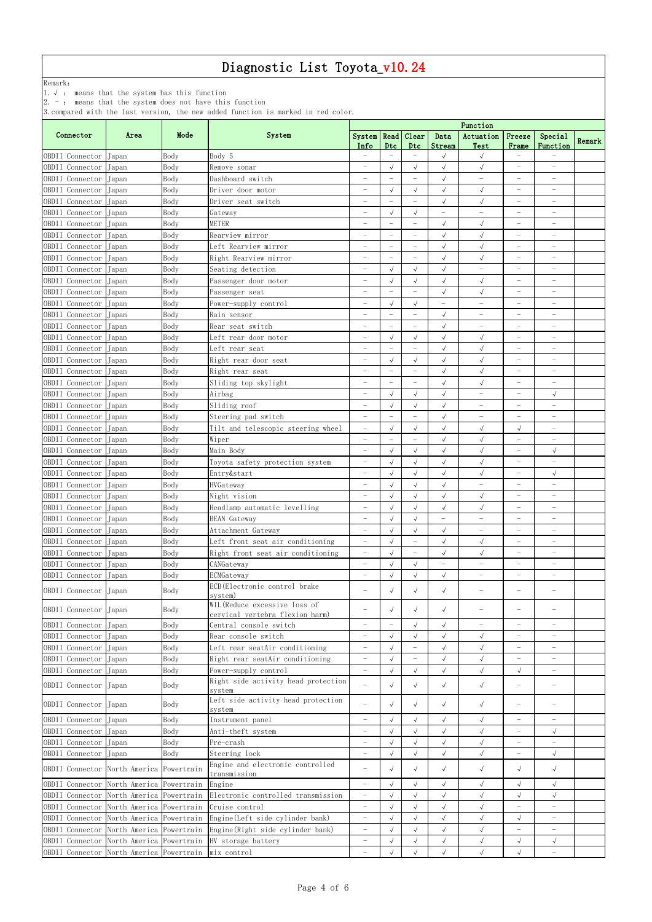Remark:

1.√ : means that the system has this function

2. - : means that the system does not have this function

|                                                         |                          |      | Function                                                                  |                          |                          |                          |                          |                          |                          |                          |        |  |  |  |  |
|---------------------------------------------------------|--------------------------|------|---------------------------------------------------------------------------|--------------------------|--------------------------|--------------------------|--------------------------|--------------------------|--------------------------|--------------------------|--------|--|--|--|--|
| Connector                                               | Area                     | Mode | System                                                                    | System   Read   Clear    |                          |                          | Data                     | Actuation                | Freeze                   | Special                  |        |  |  |  |  |
|                                                         |                          |      |                                                                           | Info                     | Dtc                      | Dtc                      | Stream                   | Test                     | Frame                    | Function                 | Remark |  |  |  |  |
| OBDII Connector                                         | Japan                    | Body | Body 5                                                                    | $\qquad \qquad -$        | $\frac{1}{2}$            |                          | $\sqrt{ }$               | $\sqrt{ }$               | $\overline{\phantom{0}}$ |                          |        |  |  |  |  |
| OBDII Connector                                         | Japan                    | Body | Remove sonar                                                              | $\overline{\phantom{a}}$ | $\sqrt{ }$               | $\sqrt{ }$               | $\sqrt{2}$               | $\sqrt{ }$               | -                        |                          |        |  |  |  |  |
| OBDII Connector                                         | Japan                    | Body | Dashboard switch                                                          | $\equiv$                 | $\overline{\phantom{m}}$ | $\equiv$                 | $\sqrt{}$                | $\overline{\phantom{0}}$ | $\qquad \qquad -$        | $\overline{\phantom{0}}$ |        |  |  |  |  |
| OBDII Connector                                         | Japan                    | Body | Driver door motor                                                         | $\overline{\phantom{0}}$ | $\sqrt{ }$               | $\sqrt{ }$               | $\sqrt{ }$               | $\sqrt{}$                | $\overline{\phantom{0}}$ | $\qquad \qquad -$        |        |  |  |  |  |
| OBDII Connector                                         | Japan                    | Body | Driver seat switch                                                        | $\overline{\phantom{0}}$ | $\overline{\phantom{m}}$ | $\overline{\phantom{0}}$ | $\sqrt{ }$               | $\sqrt{}$                | $\overline{\phantom{0}}$ | $\overline{\phantom{0}}$ |        |  |  |  |  |
| OBDII Connector                                         | Japan                    | Body | Gateway                                                                   | $\overline{\phantom{0}}$ | $\sqrt{ }$               | $\sqrt{ }$               | $\equiv$                 | $\overline{\phantom{0}}$ | $\qquad \qquad -$        | $\overline{\phantom{0}}$ |        |  |  |  |  |
| OBDII Connector                                         | Japan                    | Body | METER                                                                     | $\overline{\phantom{m}}$ | $\overline{\phantom{m}}$ | $\overline{\phantom{0}}$ | $\sqrt{ }$               | $\sqrt{ }$               | $\overline{\phantom{0}}$ | $\qquad \qquad -$        |        |  |  |  |  |
| OBDII Connector                                         | Japan                    | Body | Rearview mirror                                                           | $\overline{\phantom{m}}$ |                          | $\overline{\phantom{0}}$ | $\sqrt{ }$               | $\sqrt{ }$               | $\overline{\phantom{0}}$ | $\qquad \qquad -$        |        |  |  |  |  |
| OBDII Connector                                         | Japan                    | Body | Left Rearview mirror                                                      | $\overline{\phantom{m}}$ | $\overline{\phantom{a}}$ | $\overline{\phantom{0}}$ | $\checkmark$             | $\sqrt{}$                | $\overline{\phantom{0}}$ | $\qquad \qquad -$        |        |  |  |  |  |
| OBDII Connector                                         | Japan                    | Body | Right Rearview mirror                                                     | $\overline{\phantom{m}}$ | $\frac{1}{2}$            | $\overline{\phantom{0}}$ | $\sqrt{ }$               | $\sqrt{}$                | $\overline{\phantom{0}}$ | $\qquad \qquad -$        |        |  |  |  |  |
| OBDII Connector                                         | Japan                    | Body | Seating detection                                                         | $\overline{\phantom{0}}$ | $\sqrt{ }$               | $\sqrt{ }$               | $\sqrt{2}$               | $\overline{\phantom{0}}$ | $\overline{\phantom{0}}$ | $\overline{\phantom{0}}$ |        |  |  |  |  |
| OBDII Connector                                         | Japan                    | Body | Passenger door motor                                                      | $\overline{\phantom{m}}$ | $\sqrt{ }$               | $\sqrt{ }$               | $\sqrt{2}$               | $\sqrt{ }$               | $\overline{\phantom{0}}$ | $\qquad \qquad -$        |        |  |  |  |  |
| OBDII Connector                                         | Japan                    | Body | Passenger seat                                                            | $\overline{\phantom{0}}$ | $\overline{\phantom{a}}$ |                          | $\sqrt{ }$               | $\sqrt{ }$               | $\overline{\phantom{0}}$ | $\qquad \qquad -$        |        |  |  |  |  |
| OBDII Connector                                         | Japan                    | Body | Power-supply control                                                      | $\overline{\phantom{m}}$ | $\sqrt{ }$               | $\sqrt{ }$               | $\overline{\phantom{0}}$ | $\qquad \qquad -$        | $\qquad \qquad -$        | $\overline{\phantom{0}}$ |        |  |  |  |  |
| OBDII Connector                                         | Japan                    | Body | Rain sensor                                                               | $\overline{\phantom{0}}$ | $\overline{\phantom{0}}$ | $\equiv$                 | $\sqrt{2}$               | $\qquad \qquad -$        | $\overline{\phantom{0}}$ | $\qquad \qquad -$        |        |  |  |  |  |
| OBDII Connector                                         | Japan                    | Body | Rear seat switch                                                          | $\overline{\phantom{0}}$ | $\overline{\phantom{m}}$ | $\overline{\phantom{0}}$ | $\checkmark$             | $\overline{\phantom{0}}$ | $\overline{\phantom{0}}$ | $\overline{\phantom{0}}$ |        |  |  |  |  |
| OBDII Connector                                         | Japan                    | Body | Left rear door motor                                                      | $\overline{\phantom{m}}$ | $\sqrt{ }$               | $\sqrt{ }$               | $\sqrt{ }$               | $\sqrt{}$                | $\overline{\phantom{0}}$ | $\qquad \qquad -$        |        |  |  |  |  |
| OBDII Connector                                         |                          | Body | Left rear seat                                                            | L,                       |                          |                          | $\sqrt{ }$               | $\sqrt{}$                | $\overline{\phantom{0}}$ |                          |        |  |  |  |  |
|                                                         | Japan                    |      |                                                                           | $\overline{\phantom{m}}$ | $\sqrt{}$                |                          |                          | $\sqrt{2}$               |                          |                          |        |  |  |  |  |
| OBDII Connector                                         | Japan                    | Body | Right rear door seat                                                      |                          |                          | $\sqrt{ }$               | $\sqrt{2}$               |                          | $\overline{\phantom{0}}$ | $\qquad \qquad -$        |        |  |  |  |  |
| OBDII Connector                                         | Japan                    | Body | Right rear seat                                                           | $\overline{\phantom{0}}$ | $\frac{1}{2}$            | L,                       | $\sqrt{2}$               | $\sqrt{2}$               | $\equiv$                 |                          |        |  |  |  |  |
| OBDII Connector                                         | Japan                    | Body | Sliding top skylight                                                      | $\overline{\phantom{0}}$ | $\overline{\phantom{a}}$ | $\equiv$                 | $\sqrt{ }$               | $\sqrt{}$                | $\overline{\phantom{0}}$ | $\qquad \qquad -$        |        |  |  |  |  |
| OBDII Connector                                         | Japan                    | Body | Airbag                                                                    | $\overline{\phantom{m}}$ | $\sqrt{ }$               | $\sqrt{ }$               | $\sqrt{ }$               | $\overline{\phantom{0}}$ | $\overline{\phantom{0}}$ | $\sqrt{}$                |        |  |  |  |  |
| OBDII Connector                                         | Japan                    | Body | Sliding roof                                                              | $\overline{\phantom{m}}$ | $\sqrt{ }$               | $\sqrt{ }$               | $\sqrt{ }$               | $\qquad \qquad -$        | $\overline{\phantom{0}}$ | $\qquad \qquad -$        |        |  |  |  |  |
| OBDII Connector                                         | Japan                    | Body | Steering pad switch                                                       | $\equiv$                 | $\frac{1}{2}$            | $\equiv$                 | $\sqrt{ }$               | $\overline{\phantom{0}}$ | $\overline{\phantom{0}}$ | $\qquad \qquad -$        |        |  |  |  |  |
| OBDII Connector                                         | Japan                    | Body | Tilt and telescopic steering wheel                                        | $\overline{\phantom{0}}$ | $\sqrt{ }$               | $\sqrt{ }$               | $\sqrt{ }$               | $\sqrt{ }$               | $\sqrt{}$                | $\overline{\phantom{0}}$ |        |  |  |  |  |
| OBDII Connector                                         | Japan                    | Body | Wiper                                                                     | $\overline{\phantom{m}}$ | $\overline{\phantom{a}}$ | $\overline{\phantom{0}}$ | $\sqrt{ }$               | $\sqrt{2}$               | $\qquad \qquad -$        | $\qquad \qquad -$        |        |  |  |  |  |
| OBDII Connector                                         | Japan                    | Body | Main Body                                                                 |                          | $\sqrt{ }$               | $\sqrt{ }$               | $\sqrt{ }$               | $\sqrt{ }$               | -                        | $\sqrt{}$                |        |  |  |  |  |
| OBDII Connector Japan                                   |                          | Body | Toyota safety protection system                                           |                          | $\sqrt{}$                | $\overline{\phantom{a}}$ | $\sqrt{}$                | $\sqrt{}$                |                          |                          |        |  |  |  |  |
| OBDII Connector                                         | Japan                    | Body | Entry&start                                                               |                          | $\sqrt{ }$               | $\sqrt{ }$               | $\sqrt{}$                | $\sqrt{}$                |                          | $\sqrt{ }$               |        |  |  |  |  |
| OBDII Connector                                         | Japan                    | Body | HVGateway                                                                 | $\overline{\phantom{0}}$ | $\sqrt{ }$               | $\sqrt{ }$               | $\sqrt{ }$               | $\qquad \qquad -$        | $\qquad \qquad -$        | $\overline{\phantom{0}}$ |        |  |  |  |  |
| OBDII Connector                                         | Japan                    | Body | Night vision                                                              | $\overline{\phantom{0}}$ | $\sqrt{ }$               | $\sqrt{ }$               | $\sqrt{ }$               | $\sqrt{}$                | $\overline{\phantom{0}}$ | $\overline{\phantom{0}}$ |        |  |  |  |  |
| OBDII Connector                                         | Japan                    | Body | Headlamp automatic levelling                                              | $\overline{\phantom{a}}$ | $\sqrt{ }$               | $\sqrt{ }$               | $\sqrt{ }$               | $\sqrt{}$                | $\overline{\phantom{0}}$ | $\qquad \qquad -$        |        |  |  |  |  |
| OBDII Connector                                         | Japan                    | Body | <b>BEAN</b> Gateway                                                       | $\overline{\phantom{m}}$ | $\sqrt{}$                | $\sqrt{ }$               |                          | $\overline{\phantom{0}}$ | $\overline{\phantom{0}}$ | $\qquad \qquad -$        |        |  |  |  |  |
| OBDII Connector                                         | Japan                    | Body | Attachment Gateway                                                        | $\overline{\phantom{0}}$ | $\sqrt{ }$               | $\sqrt{ }$               | $\sqrt{ }$               | $\qquad \qquad -$        | $\overline{\phantom{0}}$ | $\qquad \qquad -$        |        |  |  |  |  |
| OBDII Connector                                         | $\it Japan$              | Body | Left front seat air conditioning                                          | $\overline{\phantom{m}}$ | $\sqrt{ }$               | $\overline{\phantom{0}}$ | $\sqrt{2}$               | $\sqrt{ }$               | $\qquad \qquad -$        | $\overline{\phantom{m}}$ |        |  |  |  |  |
| OBDII Connector                                         | Japan                    | Body | Right front seat air conditioning                                         | $\overline{\phantom{m}}$ | $\sqrt{ }$               | $\qquad \qquad -$        | $\sqrt{ }$               | $\sqrt{ }$               | $\overline{\phantom{0}}$ | $\overline{\phantom{0}}$ |        |  |  |  |  |
| OBDII Connector                                         | Japan                    | Body | CANGateway                                                                | $\overline{\phantom{m}}$ | $\sqrt{ }$               | $\sqrt{ }$               | $\overline{\phantom{0}}$ | $\overline{\phantom{0}}$ | $\overline{\phantom{0}}$ | $\overline{\phantom{0}}$ |        |  |  |  |  |
| OBDII Connector                                         | Japan                    | Body | ECMGateway                                                                | $\overline{\phantom{m}}$ | $\sqrt{ }$               | $\sqrt{2}$               | $\sqrt{2}$               | $\overline{\phantom{0}}$ | $\overline{\phantom{0}}$ | $\qquad \qquad -$        |        |  |  |  |  |
|                                                         |                          |      | ECB(Electronic control brake                                              |                          |                          |                          |                          |                          |                          |                          |        |  |  |  |  |
| OBDII Connector                                         | Japan                    | Body | system)                                                                   |                          | $\sqrt{ }$               | $\sqrt{ }$               | $\sqrt{ }$               | $\overline{\phantom{0}}$ | -                        |                          |        |  |  |  |  |
| OBDII Connector                                         | Japan                    | Body | WIL (Reduce excessive loss of                                             |                          | $\sqrt{ }$               | $\sqrt{ }$               | $\sqrt{ }$               |                          | $\overline{\phantom{0}}$ |                          |        |  |  |  |  |
|                                                         |                          |      | cervical vertebra flexion harm)                                           |                          |                          |                          |                          |                          |                          |                          |        |  |  |  |  |
| OBDII Connector                                         | Japan                    | Body | Central console switch                                                    | $\overline{\phantom{m}}$ | $\equiv$                 | $\sqrt{ }$               | $\sqrt{}$                | $\overline{\phantom{a}}$ | $\qquad \qquad -$        | $\overline{\phantom{m}}$ |        |  |  |  |  |
| OBDII Connector                                         | Japan                    | Body | Rear console switch                                                       | $\overline{\phantom{0}}$ | $\sqrt{ }$               | $\sqrt{ }$               | $\sqrt{ }$               | $\sqrt{}$                | $\equiv$                 |                          |        |  |  |  |  |
| OBDII Connector                                         | Japan                    | Body | Left rear seatAir conditioning                                            | $\overline{\phantom{m}}$ | $\sqrt{}$                | $\qquad \qquad -$        | $\sqrt{}$                | $\sqrt{}$                | $\overline{\phantom{0}}$ | $\qquad \qquad -$        |        |  |  |  |  |
| OBDII Connector                                         | Japan                    | Body | Right rear seatAir conditioning                                           | $\overline{\phantom{m}}$ | $\sqrt{ }$               |                          | $\sqrt{2}$               | $\sqrt{}$                | $\overline{\phantom{0}}$ | $\qquad \qquad -$        |        |  |  |  |  |
| OBDII Connector                                         | Japan                    | Body | Power-supply control                                                      | $\overline{\phantom{0}}$ | $\sqrt{ }$               | $\sqrt{}$                | $\sqrt{ }$               | $\sqrt{}$                | $\sqrt{ }$               | $\qquad \qquad -$        |        |  |  |  |  |
| OBDII Connector                                         | Japan                    | Body | Right side activity head protection                                       |                          | $\sqrt{ }$               | $\sqrt{ }$               | $\sqrt{}$                | $\sqrt{ }$               | $\overline{\phantom{0}}$ |                          |        |  |  |  |  |
|                                                         |                          |      | svstem                                                                    |                          |                          |                          |                          |                          |                          |                          |        |  |  |  |  |
| OBDII Connector                                         | Japan                    | Body | Left side activity head protection<br>system                              |                          | $\sqrt{ }$               | $\sqrt{ }$               | $\sqrt{ }$               | $\sqrt{ }$               | $\overline{\phantom{0}}$ |                          |        |  |  |  |  |
| OBDII Connector                                         | Japan                    | Body | Instrument panel                                                          |                          | $\sqrt{ }$               | $\sqrt{ }$               | $\sqrt{2}$               | $\sqrt{ }$               | $\overline{\phantom{0}}$ |                          |        |  |  |  |  |
| OBDII Connector                                         | Japan                    | Body | Anti-theft system                                                         | $\overline{\phantom{0}}$ | $\sqrt{ }$               | $\sqrt{ }$               | $\sqrt{ }$               | $\sqrt{}$                | $\overline{\phantom{0}}$ | $\sqrt{ }$               |        |  |  |  |  |
| OBDII Connector                                         |                          | Body | Pre-crash                                                                 |                          | $\sqrt{ }$               |                          | $\sqrt{ }$               | $\sqrt{}$                | $\overline{\phantom{0}}$ | $-$                      |        |  |  |  |  |
| OBDII Connector                                         | Japan                    | Body | Steering lock                                                             | $\overline{\phantom{m}}$ | $\sqrt{ }$               | $\sqrt{ }$               | $\sqrt{}$                | $\sqrt{ }$               | $\overline{\phantom{0}}$ | $\sqrt{ }$               |        |  |  |  |  |
|                                                         | Japan                    |      | Engine and electronic controlled                                          |                          |                          |                          |                          |                          |                          |                          |        |  |  |  |  |
| OBDII Connector North America Powertrain                |                          |      | transmission                                                              | $\overline{\phantom{m}}$ | $\sqrt{ }$               | $\sqrt{ }$               | $\sqrt{}$                | $\sqrt{ }$               | $\sqrt{ }$               | $\sqrt{ }$               |        |  |  |  |  |
| OBDII Connector North America Powertrain                |                          |      | Engine                                                                    | $\overline{\phantom{a}}$ | $\sqrt{ }$               | $\sqrt{2}$               | $\sqrt{2}$               | $\sqrt{ }$               | $\sqrt{ }$               | $\sqrt{ }$               |        |  |  |  |  |
| OBDII Connector                                         | North America Powertrain |      | Electronic controlled transmission                                        | $\overline{\phantom{m}}$ | $\sqrt{ }$               | $\sqrt{}$                | $\sqrt{}$                | $\sqrt{ }$               | $\sqrt{ }$               | $\sqrt{ }$               |        |  |  |  |  |
| OBDII Connector North America Powertrain Cruise control |                          |      |                                                                           |                          | $\sqrt{}$                |                          | $\sqrt{ }$               | $\sqrt{ }$               |                          |                          |        |  |  |  |  |
|                                                         |                          |      | OBDII Connector North America Powertrain Engine (Left side cylinder bank) | $\overline{\phantom{m}}$ | $\sqrt{ }$               | $\sqrt{}$                | $\sqrt{ }$               | $\sqrt{ }$               | $\sqrt{ }$               | $\qquad \qquad -$        |        |  |  |  |  |
| OBDII Connector                                         | North America Powertrain |      | Engine (Right side cylinder bank)                                         | $\overline{\phantom{0}}$ | $\sqrt{ }$               | $\sqrt{ }$               | $\sqrt{2}$               | $\sqrt{}$                | $\overline{\phantom{0}}$ | $\overline{\phantom{0}}$ |        |  |  |  |  |
| OBDII Connector                                         | North America Powertrain |      | HV storage battery                                                        | $\overline{\phantom{m}}$ | $\sqrt{\phantom{a}}$     | $\sqrt{ }$               | $\sqrt{ }$               | $\sqrt{}$                | $\sqrt{}$                | $\sqrt{ }$               |        |  |  |  |  |
| OBDII Connector                                         | North America Powertrain |      | mix control                                                               | $\overline{\phantom{a}}$ | $\sqrt{\phantom{a}}$     | $\sqrt{}$                | $\sqrt{ }$               | $\sqrt{ }$               | $\sqrt{ }$               | $\overline{\phantom{a}}$ |        |  |  |  |  |
|                                                         |                          |      |                                                                           |                          |                          |                          |                          |                          |                          |                          |        |  |  |  |  |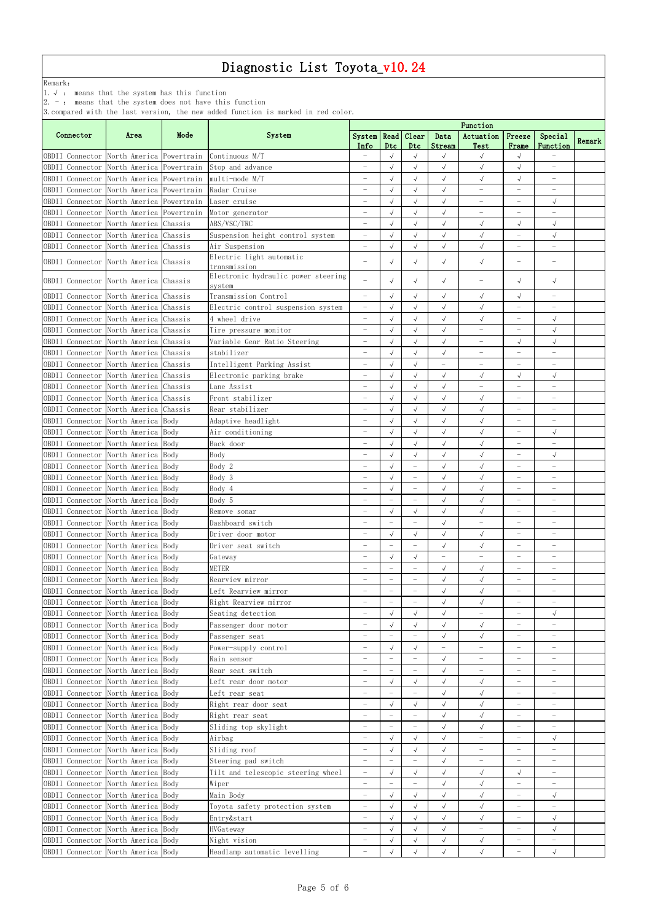Remark:

1.√ : means that the system has this function

2. - : means that the system does not have this function

|                                       |                          |      |                                               | Function                 |                                        |                          |                          |                          |                          |                                                      |        |  |
|---------------------------------------|--------------------------|------|-----------------------------------------------|--------------------------|----------------------------------------|--------------------------|--------------------------|--------------------------|--------------------------|------------------------------------------------------|--------|--|
| Connector                             | Area                     | Mode | System                                        | System Read<br>Info      | Dtc                                    | Clear<br>Dtc             | Data<br>Stream           | Actuation<br>Test        | Freeze<br>Frame          | Special<br>Function                                  | Remark |  |
| OBDII Connector                       |                          |      | North America Powertrain Continuous M/T       | $\overline{\phantom{0}}$ | $\sqrt{ }$                             |                          |                          | $\sqrt{ }$               | $\sqrt{ }$               |                                                      |        |  |
| OBDII Connector                       |                          |      | North America Powertrain Stop and advance     | $\overline{\phantom{m}}$ | $\sqrt{}$                              | $\sqrt{ }$               | $\sqrt{ }$               | $\sqrt{ }$               | $\sqrt{ }$               | $\overline{\phantom{0}}$                             |        |  |
| OBDII Connector                       | North America Powertrain |      | multi-mode M/T                                | $\overline{\phantom{0}}$ | $\sqrt{ }$                             | $\sqrt{}$                | $\sqrt{ }$               | $\sqrt{}$                | $\sqrt{}$                | $\equiv$                                             |        |  |
| OBDII Connector                       | North America Powertrain |      | Radar Cruise                                  | $\overline{\phantom{0}}$ | $\sqrt{ }$                             | $\sqrt{}$                | $\sqrt{ }$               | $\overline{\phantom{0}}$ | $\overline{\phantom{a}}$ | $\overline{\phantom{0}}$                             |        |  |
| OBDII Connector                       | North America Powertrain |      | Laser cruise                                  | $\overline{\phantom{0}}$ | $\sqrt{ }$                             | $\sqrt{2}$               | $\sqrt{ }$               | $\overline{\phantom{0}}$ | $\overline{\phantom{a}}$ | $\sqrt{ }$                                           |        |  |
| OBDII Connector                       | North America Powertrain |      | Motor generator                               | $\overline{\phantom{0}}$ | $\sqrt{ }$                             | $\sqrt{ }$               | $\sqrt{ }$               | $\overline{\phantom{0}}$ | $\overline{\phantom{m}}$ | $\overline{\phantom{0}}$                             |        |  |
| OBDII Connector                       | North America Chassis    |      | ABS/VSC/TRC                                   | $\overline{\phantom{m}}$ | $\sqrt{ }$                             | $\sqrt{ }$               | $\sqrt{ }$               | $\sqrt{ }$               | $\sqrt{ }$               | $\sqrt{2}$                                           |        |  |
| OBDII Connector                       | North America Chassis    |      | Suspension height control system              | $\overline{\phantom{0}}$ | $\sqrt{ }$                             | $\sqrt{}$                | $\sqrt{ }$               | $\sqrt{}$                | $\overline{\phantom{0}}$ | $\sqrt{ }$                                           |        |  |
| OBDII Connector                       | North America Chassis    |      | Air Suspension                                | $\overline{\phantom{0}}$ | $\sqrt{ }$                             | $\sqrt{2}$               | $\sqrt{ }$               | $\sqrt{ }$               | $\overline{\phantom{m}}$ | $\overline{\phantom{0}}$                             |        |  |
| OBDII Connector North America Chassis |                          |      | Electric light automatic                      |                          | $\sqrt{ }$                             | $\sqrt{ }$               | $\sqrt{ }$               | $\sqrt{ }$               | $\overline{\phantom{m}}$ | $\overline{\phantom{m}}$                             |        |  |
|                                       |                          |      | transmission                                  |                          |                                        |                          |                          |                          |                          |                                                      |        |  |
| OBDII Connector North America Chassis |                          |      | Electronic hydraulic power steering<br>system |                          | $\sqrt{ }$                             | $\sqrt{ }$               | $\sqrt{ }$               | $\overline{\phantom{m}}$ | $\sqrt{ }$               | $\sqrt{}$                                            |        |  |
| OBDII Connector                       | North America Chassis    |      | Transmission Control                          | $\overline{\phantom{m}}$ | $\sqrt{ }$                             | $\sqrt{ }$               | $\sqrt{ }$               | $\sqrt{ }$               | $\sqrt{ }$               | $\overline{\phantom{0}}$                             |        |  |
| OBDII Connector                       | North America Chassis    |      | Electric control suspension system            | $\overline{\phantom{0}}$ | $\sqrt{ }$                             | $\sqrt{ }$               | $\sqrt{ }$               | $\checkmark$             | $\overline{\phantom{a}}$ | $\overline{\phantom{0}}$                             |        |  |
| OBDII Connector                       | North America Chassis    |      | 4 wheel drive                                 | $\overline{\phantom{m}}$ | $\sqrt{}$                              | $\sqrt{}$                | $\sqrt{ }$               | $\sqrt{}$                | $\overline{\phantom{m}}$ | $\sqrt{ }$                                           |        |  |
| OBDII Connector North America Chassis |                          |      | Tire pressure monitor                         | $\overline{\phantom{0}}$ | $\sqrt{ }$                             |                          | $\sqrt{2}$               | $\overline{\phantom{a}}$ | $\overline{\phantom{0}}$ | $\sqrt{}$                                            |        |  |
| OBDII Connector                       | North America Chassis    |      | Variable Gear Ratio Steering                  | $\overline{\phantom{m}}$ | $\sqrt{ }$                             | $\sqrt{2}$               | $\sqrt{ }$               | $\overline{\phantom{a}}$ | $\checkmark$             | $\sqrt{ }$                                           |        |  |
| OBDII Connector                       | North America Chassis    |      | stabilizer                                    | $\overline{\phantom{m}}$ | $\sqrt{}$                              | $\sqrt{}$                | $\sqrt{ }$               | $\overline{\phantom{0}}$ | $\overline{\phantom{0}}$ | $\overline{\phantom{0}}$                             |        |  |
| OBDII Connector                       | North America Chassis    |      | Intelligent Parking Assist                    | $\overline{\phantom{0}}$ | $\sqrt{ }$                             | $\sqrt{}$                | $\equiv$                 | $\overline{\phantom{0}}$ | $\overline{\phantom{0}}$ |                                                      |        |  |
| OBDII Connector                       | North America Chassis    |      | Electronic parking brake                      | $\overline{\phantom{0}}$ | $\sqrt{ }$                             | $\sqrt{ }$               | $\sqrt{ }$               | $\sqrt{ }$               | $\sqrt{ }$               | $\sqrt{2}$                                           |        |  |
| OBDII Connector                       | North America Chassis    |      | Lane Assist                                   | $\overline{\phantom{0}}$ | $\sqrt{ }$                             | $\sqrt{ }$               | $\sqrt{ }$               | $\equiv$                 | $\overline{\phantom{0}}$ | $\overline{\phantom{0}}$                             |        |  |
| OBDII Connector                       | North America Chassis    |      | Front stabilizer                              | $\overline{\phantom{m}}$ | $\sqrt{ }$                             | $\sqrt{ }$               | $\checkmark$             | $\sqrt{ }$               | $\overline{\phantom{0}}$ | $\overline{\phantom{0}}$                             |        |  |
| OBDII Connector                       | North America Chassis    |      | Rear stabilizer                               | $\overline{\phantom{0}}$ | $\sqrt{ }$                             | $\sqrt{ }$               | $\sqrt{ }$               | $\sqrt{ }$               | $\overline{\phantom{a}}$ | $\overline{\phantom{0}}$                             |        |  |
| OBDII Connector                       | North America Body       |      | Adaptive headlight                            | $\overline{\phantom{0}}$ | $\sqrt{}$                              | $\sqrt{}$                | $\sqrt{ }$               | $\sqrt{}$                | $\overline{\phantom{0}}$ | $\overline{\phantom{0}}$                             |        |  |
| OBDII Connector                       | North America Body       |      | Air conditioning                              | $\overline{\phantom{0}}$ | $\sqrt{ }$                             | $\sqrt{ }$               | $\sqrt{ }$               | $\sqrt{ }$               | $\overline{\phantom{a}}$ | $\sqrt{2}$                                           |        |  |
| OBDII Connector                       | North America Body       |      | Back door                                     | $\overline{\phantom{0}}$ | $\sqrt{}$                              | $\sqrt{}$                | $\sqrt{ }$               | $\sqrt{ }$               | $\overline{\phantom{0}}$ |                                                      |        |  |
| OBDII Connector North America Body    |                          |      | Body                                          | $\overline{\phantom{0}}$ | $\sqrt{}$                              | $\sqrt{}$                | $\sqrt{ }$               | $\sqrt{}$                | $\overline{\phantom{0}}$ | $\sqrt{2}$                                           |        |  |
| OBDII Connector North America Body    |                          |      | $\overline{Body}$ 2                           |                          | √                                      |                          | $\sqrt{ }$               | $\sqrt{ }$               |                          |                                                      |        |  |
| OBDII Connector                       | North America Body       |      | Body 3                                        | $\overline{\phantom{m}}$ | $\sqrt{}$                              | $\overline{\phantom{m}}$ | $\sqrt{\phantom{a}}$     | $\sqrt{ }$               | $\overline{\phantom{m}}$ | $\overline{\phantom{0}}$                             |        |  |
| OBDII Connector North America Body    |                          |      | Body 4                                        | $\equiv$                 | $\sqrt{ }$                             | $\overline{\phantom{m}}$ | $\sqrt{ }$               | $\sqrt{ }$               | $\overline{\phantom{m}}$ | $\overline{\phantom{0}}$                             |        |  |
| OBDII Connector                       | North America Body       |      | Body 5                                        |                          | $\overline{\phantom{0}}$               |                          | $\sqrt{ }$               | $\sqrt{}$                | $\overline{\phantom{0}}$ | $\overline{\phantom{0}}$                             |        |  |
| OBDII Connector                       | North America Body       |      | Remove sonar                                  | $\overline{\phantom{0}}$ | $\sqrt{ }$                             | $\sqrt{2}$               | $\sqrt{ }$               | $\sqrt{ }$               | $\overline{\phantom{0}}$ | $\overline{\phantom{0}}$                             |        |  |
| OBDII Connector                       | North America Body       |      | Dashboard switch                              |                          | $\overline{\phantom{0}}$               | $\overline{\phantom{a}}$ | $\sqrt{ }$               | $\overline{\phantom{a}}$ | $\overline{\phantom{m}}$ | $\qquad \qquad$                                      |        |  |
| OBDII Connector                       | North America Body       |      | Driver door motor                             | $\overline{\phantom{m}}$ | $\sqrt{}$                              | $\sqrt{ }$               | $\sqrt{ }$               | $\sqrt{ }$               | $\overline{\phantom{m}}$ | $\overline{\phantom{0}}$                             |        |  |
| OBDII Connector                       | North America Body       |      | Driver seat switch                            | $\equiv$                 | $\overline{\phantom{0}}$               | $\overline{\phantom{0}}$ | $\sqrt{ }$               | $\sqrt{}$                | $\overline{\phantom{m}}$ |                                                      |        |  |
| OBDII Connector                       | North America Body       |      | Gateway                                       | $\overline{\phantom{0}}$ | $\sqrt{ }$                             | $\sqrt{ }$               | $\overline{\phantom{0}}$ | $\overline{\phantom{0}}$ | $\overline{\phantom{0}}$ | $\overline{\phantom{0}}$                             |        |  |
| OBDII Connector                       | North America Body       |      | <b>METER</b>                                  | $\overline{\phantom{0}}$ | $\overline{\phantom{0}}$               | $\overline{\phantom{m}}$ | $\sqrt{ }$               | $\sqrt{ }$               | $\overline{\phantom{0}}$ | $\overline{\phantom{0}}$                             |        |  |
| OBDII Connector                       | North America Body       |      | Rearview mirror                               | $\overline{\phantom{m}}$ | $\qquad \qquad -$                      | $\overline{\phantom{m}}$ | $\sqrt{ }$               | $\sqrt{ }$               | $\overline{\phantom{m}}$ | $\overline{\phantom{0}}$                             |        |  |
| OBDII Connector                       | North America Body       |      | Left Rearview mirror                          | $\overline{\phantom{m}}$ | $\overline{\phantom{0}}$               | $\overline{\phantom{m}}$ | $\sqrt{ }$               | $\sqrt{ }$               | $\overline{\phantom{m}}$ | $\overline{\phantom{0}}$                             |        |  |
| OBDII Connector                       | North America Body       |      | Right Rearview mirror                         | $\overline{\phantom{0}}$ |                                        |                          | $\sqrt{ }$               | $\sqrt{ }$               | $\qquad \qquad -$        | -                                                    |        |  |
| OBDII Connector                       | North America Body       |      |                                               | $\overline{\phantom{0}}$ | $\sqrt{}$                              | $\sqrt{2}$               | $\sqrt{ }$               | $\overline{\phantom{0}}$ | $\overline{\phantom{a}}$ | $\sqrt{ }$                                           |        |  |
| OBDII Connector                       | North America Body       |      | Seating detection                             |                          | $\sqrt{}$                              | $\sqrt{2}$               | $\sqrt{ }$               | $\sqrt{ }$               | $\overline{\phantom{a}}$ | $\overline{\phantom{0}}$                             |        |  |
| OBDII Connector                       | North America Body       |      | Passenger door motor                          | $\overline{\phantom{m}}$ | $\qquad \qquad -$                      | $\overline{\phantom{m}}$ | $\sqrt{ }$               | $\sqrt{}$                | $\overline{\phantom{m}}$ | $\overline{\phantom{0}}$                             |        |  |
| OBDII Connector                       | North America Body       |      | Passenger seat                                | $\overline{\phantom{0}}$ | $\sqrt{ }$                             | $\sqrt{}$                | $\qquad \qquad -$        | $\equiv$                 | $\overline{\phantom{m}}$ | $\overline{\phantom{0}}$                             |        |  |
| OBDII Connector                       | North America Body       |      | Power-supply control<br>Rain sensor           | $\overline{\phantom{0}}$ | $\qquad \qquad -$                      | $\overline{\phantom{m}}$ |                          | $\overline{\phantom{a}}$ | $\overline{\phantom{m}}$ |                                                      |        |  |
|                                       | North America Body       |      |                                               | $\overline{\phantom{0}}$ | $\overline{\phantom{0}}$               | $\overline{\phantom{m}}$ | $\sqrt{ }$<br>$\sqrt{ }$ | $\overline{\phantom{0}}$ | $\overline{\phantom{m}}$ | $\overline{\phantom{0}}$<br>$\overline{\phantom{0}}$ |        |  |
| OBDII Connector                       |                          |      | Rear seat switch                              |                          |                                        |                          |                          |                          |                          |                                                      |        |  |
| OBDII Connector                       | North America Body       |      | Left rear door motor                          | $\overline{\phantom{m}}$ | $\sqrt{ }$<br>$\overline{\phantom{0}}$ | $\sqrt{ }$               | $\sqrt{ }$<br>$\sqrt{ }$ | $\sqrt{ }$               | $\overline{\phantom{m}}$ | $\overline{\phantom{0}}$                             |        |  |
| OBDII Connector                       | North America Body       |      | Left rear seat                                | $\overline{\phantom{0}}$ |                                        |                          |                          | $\sqrt{ }$               | $\overline{\phantom{m}}$ | $\overline{\phantom{0}}$                             |        |  |
| OBDII Connector                       | North America Body       |      | Right rear door seat                          |                          | $\sqrt{}$                              | $\sqrt{ }$               | $\sqrt{ }$               | $\sqrt{}$                |                          | $\overline{\phantom{0}}$                             |        |  |
| OBDII Connector                       | North America Body       |      | Right rear seat                               | $\overline{\phantom{m}}$ | $\overline{\phantom{0}}$               | $\frac{1}{2}$            | $\sqrt{ }$               | $\sqrt{ }$               | $\overline{\phantom{m}}$ | $\overline{\phantom{0}}$                             |        |  |
| OBDII Connector                       | North America Body       |      | Sliding top skylight                          | $\overline{\phantom{0}}$ | $\overline{\phantom{0}}$               |                          | $\sqrt{ }$               | $\sqrt{}$                | $\overline{\phantom{0}}$ | $\overline{\phantom{0}}$                             |        |  |
| OBDII Connector                       | North America Body       |      | Airbag                                        | $\overline{\phantom{0}}$ | $\sqrt{ }$                             | $\sqrt{}$                | $\sqrt{ }$               | $\overline{\phantom{0}}$ | $\overline{\phantom{m}}$ | $\sqrt{2}$                                           |        |  |
| OBDII Connector                       | North America Body       |      | Sliding roof                                  | $\overline{\phantom{0}}$ | $\sqrt{ }$                             | $\sqrt{ }$               | $\sqrt{ }$               | $\overline{\phantom{0}}$ | $\overline{\phantom{a}}$ | $\overline{\phantom{0}}$                             |        |  |
| OBDII Connector                       | North America Body       |      | Steering pad switch                           | $\overline{\phantom{0}}$ | $\overline{\phantom{0}}$               | $\overline{\phantom{0}}$ | $\sqrt{ }$               | $\overline{\phantom{0}}$ | $\overline{\phantom{0}}$ | $\overline{\phantom{0}}$                             |        |  |
| OBDII Connector                       | North America Body       |      | Tilt and telescopic steering wheel            | $\overline{\phantom{0}}$ | $\sqrt{ }$                             | $\sqrt{ }$               | $\sqrt{ }$               | $\sqrt{ }$               | $\sqrt{ }$               | $\overline{\phantom{0}}$                             |        |  |
| OBDII Connector                       | North America Body       |      | Wiper                                         | $\overline{\phantom{m}}$ |                                        | $\overline{\phantom{0}}$ | $\checkmark$             | $\sqrt{ }$               | $\overline{\phantom{m}}$ | $\qquad \qquad -$                                    |        |  |
| OBDII Connector North America Body    |                          |      | Main Body                                     | $\overline{\phantom{m}}$ | $\sqrt{ }$                             | $\sqrt{ }$               | $\checkmark$             | $\sqrt{ }$               | $\overline{\phantom{0}}$ | $\sqrt{}$                                            |        |  |
| OBDII Connector North America Body    |                          |      | Toyota safety protection system               | $\overline{\phantom{0}}$ |                                        |                          | $\sqrt{ }$               | $\sqrt{ }$               | $\overline{\phantom{0}}$ |                                                      |        |  |
| OBDII Connector North America Body    |                          |      | Entry&start                                   |                          | $\sqrt{ }$                             | $\sqrt{ }$               | $\sqrt{ }$               | $\sqrt{ }$               | $\overline{\phantom{m}}$ | $\sqrt{}$                                            |        |  |
| OBDII Connector                       | North America Body       |      | HVGateway                                     |                          | $\sqrt{ }$                             | $\sqrt{ }$               | $\sqrt{ }$               | $\equiv$                 | $\overline{\phantom{0}}$ | $\sqrt{2}$                                           |        |  |
| OBDII Connector                       | North America Body       |      | Night vision                                  | $\overline{\phantom{m}}$ | $\sqrt{}$                              | $\sqrt{ }$               | $\sqrt{ }$               | $\sqrt{ }$               | $\overline{\phantom{m}}$ | $\overline{\phantom{0}}$                             |        |  |
| OBDII Connector                       | North America Body       |      | Headlamp automatic levelling                  | $\overline{\phantom{0}}$ | $\sqrt{ }$                             | $\sqrt{ }$               | $\sqrt{ }$               | $\sqrt{ }$               | $\overline{\phantom{a}}$ | $\sqrt{ }$                                           |        |  |